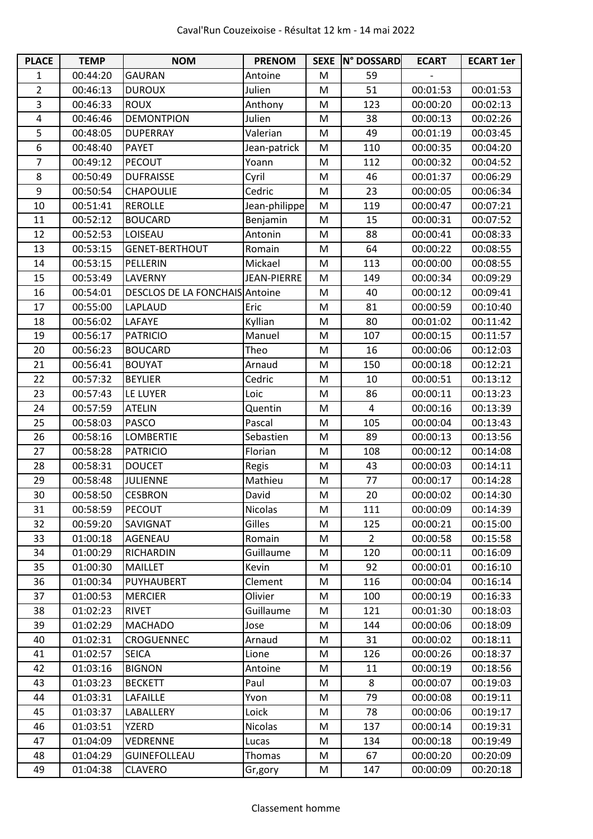| <b>PLACE</b>   | <b>TEMP</b> | <b>NOM</b>                     | <b>PRENOM</b>      |   | SEXE N° DOSSARD | <b>ECART</b> | <b>ECART 1er</b> |
|----------------|-------------|--------------------------------|--------------------|---|-----------------|--------------|------------------|
| 1              | 00:44:20    | <b>GAURAN</b>                  | Antoine            | M | 59              |              |                  |
| $\overline{2}$ | 00:46:13    | <b>DUROUX</b>                  | Julien             | M | 51              | 00:01:53     | 00:01:53         |
| 3              | 00:46:33    | <b>ROUX</b>                    | Anthony            | M | 123             | 00:00:20     | 00:02:13         |
| 4              | 00:46:46    | <b>DEMONTPION</b>              | Julien             | M | 38              | 00:00:13     | 00:02:26         |
| 5              | 00:48:05    | <b>DUPERRAY</b>                | Valerian           | M | 49              | 00:01:19     | 00:03:45         |
| 6              | 00:48:40    | <b>PAYET</b>                   | Jean-patrick       | M | 110             | 00:00:35     | 00:04:20         |
| 7              | 00:49:12    | PECOUT                         | Yoann              | M | 112             | 00:00:32     | 00:04:52         |
| 8              | 00:50:49    | <b>DUFRAISSE</b>               | Cyril              | M | 46              | 00:01:37     | 00:06:29         |
| 9              | 00:50:54    | CHAPOULIE                      | Cedric             | M | 23              | 00:00:05     | 00:06:34         |
| 10             | 00:51:41    | <b>REROLLE</b>                 | Jean-philippe      | M | 119             | 00:00:47     | 00:07:21         |
| 11             | 00:52:12    | <b>BOUCARD</b>                 | Benjamin           | M | 15              | 00:00:31     | 00:07:52         |
| 12             | 00:52:53    | LOISEAU                        | Antonin            | M | 88              | 00:00:41     | 00:08:33         |
| 13             | 00:53:15    | <b>GENET-BERTHOUT</b>          | Romain             | M | 64              | 00:00:22     | 00:08:55         |
| 14             | 00:53:15    | PELLERIN                       | Mickael            | M | 113             | 00:00:00     | 00:08:55         |
| 15             | 00:53:49    | LAVERNY                        | <b>JEAN-PIERRE</b> | M | 149             | 00:00:34     | 00:09:29         |
| 16             | 00:54:01    | DESCLOS DE LA FONCHAIS Antoine |                    | M | 40              | 00:00:12     | 00:09:41         |
| 17             | 00:55:00    | LAPLAUD                        | Eric               | M | 81              | 00:00:59     | 00:10:40         |
| 18             | 00:56:02    | <b>LAFAYE</b>                  | Kyllian            | M | 80              | 00:01:02     | 00:11:42         |
| 19             | 00:56:17    | <b>PATRICIO</b>                | Manuel             | M | 107             | 00:00:15     | 00:11:57         |
| 20             | 00:56:23    | <b>BOUCARD</b>                 | Theo               | M | 16              | 00:00:06     | 00:12:03         |
| 21             | 00:56:41    | <b>BOUYAT</b>                  | Arnaud             | M | 150             | 00:00:18     | 00:12:21         |
| 22             | 00:57:32    | <b>BEYLIER</b>                 | Cedric             | M | 10              | 00:00:51     | 00:13:12         |
| 23             | 00:57:43    | LE LUYER                       | Loic               | M | 86              | 00:00:11     | 00:13:23         |
| 24             | 00:57:59    | <b>ATELIN</b>                  | Quentin            | M | 4               | 00:00:16     | 00:13:39         |
| 25             | 00:58:03    | <b>PASCO</b>                   | Pascal             | M | 105             | 00:00:04     | 00:13:43         |
| 26             | 00:58:16    | <b>LOMBERTIE</b>               | Sebastien          | M | 89              | 00:00:13     | 00:13:56         |
| 27             | 00:58:28    | <b>PATRICIO</b>                | Florian            | M | 108             | 00:00:12     | 00:14:08         |
| 28             | 00:58:31    | <b>DOUCET</b>                  | Regis              | M | 43              | 00:00:03     | 00:14:11         |
| 29             | 00:58:48    | <b>JULIENNE</b>                | Mathieu            | M | 77              | 00:00:17     | 00:14:28         |
| 30             | 00:58:50    | <b>CESBRON</b>                 | David              | M | 20              | 00:00:02     | 00:14:30         |
| 31             | 00:58:59    | PECOUT                         | Nicolas            | M | 111             | 00:00:09     | 00:14:39         |
| 32             | 00:59:20    | SAVIGNAT                       | Gilles             | M | 125             | 00:00:21     | 00:15:00         |
| 33             | 01:00:18    | AGENEAU                        | Romain             | M | $\overline{2}$  | 00:00:58     | 00:15:58         |
| 34             | 01:00:29    | <b>RICHARDIN</b>               | Guillaume          | M | 120             | 00:00:11     | 00:16:09         |
| 35             | 01:00:30    | <b>MAILLET</b>                 | Kevin              | M | 92              | 00:00:01     | 00:16:10         |
| 36             | 01:00:34    | PUYHAUBERT                     | Clement            | M | 116             | 00:00:04     | 00:16:14         |
| 37             | 01:00:53    | <b>MERCIER</b>                 | Olivier            | M | 100             | 00:00:19     | 00:16:33         |
| 38             | 01:02:23    | <b>RIVET</b>                   | Guillaume          | M | 121             | 00:01:30     | 00:18:03         |
| 39             | 01:02:29    | <b>MACHADO</b>                 | Jose               | M | 144             | 00:00:06     | 00:18:09         |
| 40             | 01:02:31    | <b>CROGUENNEC</b>              | Arnaud             | M | 31              | 00:00:02     | 00:18:11         |
| 41             | 01:02:57    | <b>SEICA</b>                   | Lione              | M | 126             | 00:00:26     | 00:18:37         |
| 42             | 01:03:16    | <b>BIGNON</b>                  | Antoine            | M | 11              | 00:00:19     | 00:18:56         |
| 43             | 01:03:23    | <b>BECKETT</b>                 | Paul               | M | 8               | 00:00:07     | 00:19:03         |
| 44             | 01:03:31    | <b>LAFAILLE</b>                | Yvon               | M | 79              | 00:00:08     | 00:19:11         |
| 45             | 01:03:37    | LABALLERY                      | Loick              | M | 78              | 00:00:06     | 00:19:17         |
| 46             | 01:03:51    | <b>YZERD</b>                   | Nicolas            | M | 137             | 00:00:14     | 00:19:31         |
| 47             | 01:04:09    | <b>VEDRENNE</b>                | Lucas              | M | 134             | 00:00:18     | 00:19:49         |
| 48             | 01:04:29    | <b>GUINEFOLLEAU</b>            | Thomas             | M | 67              | 00:00:20     | 00:20:09         |
| 49             | 01:04:38    | <b>CLAVERO</b>                 | Gr,gory            | M | 147             | 00:00:09     | 00:20:18         |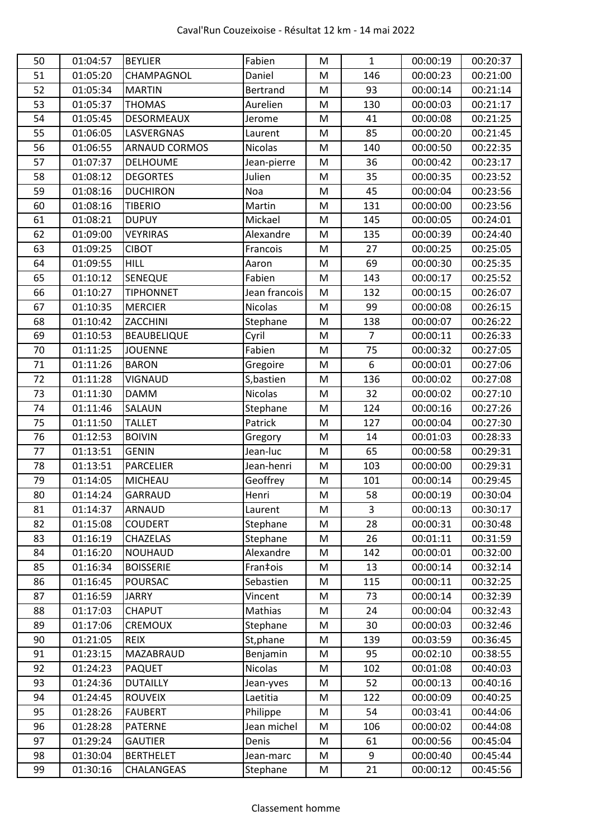| 50 | 01:04:57 | <b>BEYLIER</b>       | Fabien        | M | $\mathbf{1}$   | 00:00:19 | 00:20:37 |
|----|----------|----------------------|---------------|---|----------------|----------|----------|
| 51 | 01:05:20 | CHAMPAGNOL           | Daniel        | M | 146            | 00:00:23 | 00:21:00 |
| 52 | 01:05:34 | <b>MARTIN</b>        | Bertrand      | M | 93             | 00:00:14 | 00:21:14 |
| 53 | 01:05:37 | <b>THOMAS</b>        | Aurelien      | M | 130            | 00:00:03 | 00:21:17 |
| 54 | 01:05:45 | <b>DESORMEAUX</b>    | Jerome        | M | 41             | 00:00:08 | 00:21:25 |
| 55 | 01:06:05 | LASVERGNAS           | Laurent       | M | 85             | 00:00:20 | 00:21:45 |
| 56 | 01:06:55 | <b>ARNAUD CORMOS</b> | Nicolas       | M | 140            | 00:00:50 | 00:22:35 |
| 57 | 01:07:37 | <b>DELHOUME</b>      | Jean-pierre   | M | 36             | 00:00:42 | 00:23:17 |
| 58 | 01:08:12 | <b>DEGORTES</b>      | Julien        | M | 35             | 00:00:35 | 00:23:52 |
| 59 | 01:08:16 | <b>DUCHIRON</b>      | Noa           | M | 45             | 00:00:04 | 00:23:56 |
| 60 | 01:08:16 | <b>TIBERIO</b>       | Martin        | M | 131            | 00:00:00 | 00:23:56 |
| 61 | 01:08:21 | <b>DUPUY</b>         | Mickael       | M | 145            | 00:00:05 | 00:24:01 |
| 62 | 01:09:00 | <b>VEYRIRAS</b>      | Alexandre     | M | 135            | 00:00:39 | 00:24:40 |
| 63 | 01:09:25 | <b>CIBOT</b>         | Francois      | M | 27             | 00:00:25 | 00:25:05 |
| 64 | 01:09:55 | <b>HILL</b>          | Aaron         | M | 69             | 00:00:30 | 00:25:35 |
| 65 | 01:10:12 | SENEQUE              | Fabien        | M | 143            | 00:00:17 | 00:25:52 |
| 66 | 01:10:27 | <b>TIPHONNET</b>     | Jean francois | M | 132            | 00:00:15 | 00:26:07 |
| 67 | 01:10:35 | <b>MERCIER</b>       | Nicolas       | M | 99             | 00:00:08 | 00:26:15 |
| 68 | 01:10:42 | ZACCHINI             | Stephane      | M | 138            | 00:00:07 | 00:26:22 |
| 69 | 01:10:53 | <b>BEAUBELIQUE</b>   | Cyril         | M | 7              | 00:00:11 | 00:26:33 |
| 70 | 01:11:25 | <b>JOUENNE</b>       | Fabien        | M | 75             | 00:00:32 | 00:27:05 |
| 71 | 01:11:26 | <b>BARON</b>         | Gregoire      | M | 6              | 00:00:01 | 00:27:06 |
| 72 | 01:11:28 | <b>VIGNAUD</b>       | S, bastien    | M | 136            | 00:00:02 | 00:27:08 |
| 73 | 01:11:30 | <b>DAMM</b>          | Nicolas       | M | 32             | 00:00:02 | 00:27:10 |
| 74 | 01:11:46 | SALAUN               | Stephane      | M | 124            | 00:00:16 | 00:27:26 |
| 75 | 01:11:50 | <b>TALLET</b>        | Patrick       | M | 127            | 00:00:04 | 00:27:30 |
| 76 | 01:12:53 | <b>BOIVIN</b>        | Gregory       | M | 14             | 00:01:03 | 00:28:33 |
| 77 | 01:13:51 | <b>GENIN</b>         | Jean-luc      | M | 65             | 00:00:58 | 00:29:31 |
| 78 | 01:13:51 | <b>PARCELIER</b>     | Jean-henri    | M | 103            | 00:00:00 | 00:29:31 |
| 79 | 01:14:05 | <b>MICHEAU</b>       | Geoffrey      | M | 101            | 00:00:14 | 00:29:45 |
| 80 | 01:14:24 | <b>GARRAUD</b>       | Henri         | M | 58             | 00:00:19 | 00:30:04 |
| 81 | 01:14:37 | ARNAUD               | Laurent       | M | $\overline{3}$ | 00:00:13 | 00:30:17 |
| 82 | 01:15:08 | <b>COUDERT</b>       | Stephane      | M | 28             | 00:00:31 | 00:30:48 |
| 83 | 01:16:19 | CHAZELAS             | Stephane      | M | 26             | 00:01:11 | 00:31:59 |
| 84 | 01:16:20 | NOUHAUD              | Alexandre     | M | 142            | 00:00:01 | 00:32:00 |
| 85 | 01:16:34 | <b>BOISSERIE</b>     | Fran‡ois      | M | 13             | 00:00:14 | 00:32:14 |
| 86 | 01:16:45 | <b>POURSAC</b>       | Sebastien     | M | 115            | 00:00:11 | 00:32:25 |
| 87 | 01:16:59 | <b>JARRY</b>         | Vincent       | M | 73             | 00:00:14 | 00:32:39 |
| 88 | 01:17:03 | <b>CHAPUT</b>        | Mathias       | M | 24             | 00:00:04 | 00:32:43 |
| 89 | 01:17:06 | <b>CREMOUX</b>       | Stephane      | M | 30             | 00:00:03 | 00:32:46 |
| 90 | 01:21:05 | <b>REIX</b>          | St, phane     | M | 139            | 00:03:59 | 00:36:45 |
| 91 | 01:23:15 | MAZABRAUD            | Benjamin      | M | 95             | 00:02:10 | 00:38:55 |
| 92 | 01:24:23 | <b>PAQUET</b>        | Nicolas       | M | 102            | 00:01:08 | 00:40:03 |
| 93 | 01:24:36 | <b>DUTAILLY</b>      | Jean-yves     | M | 52             | 00:00:13 | 00:40:16 |
| 94 | 01:24:45 | <b>ROUVEIX</b>       | Laetitia      | M | 122            | 00:00:09 | 00:40:25 |
| 95 | 01:28:26 | <b>FAUBERT</b>       | Philippe      | M | 54             | 00:03:41 | 00:44:06 |
| 96 | 01:28:28 | PATERNE              | Jean michel   | M | 106            | 00:00:02 | 00:44:08 |
| 97 | 01:29:24 | <b>GAUTIER</b>       | Denis         | M | 61             | 00:00:56 | 00:45:04 |
| 98 | 01:30:04 | <b>BERTHELET</b>     | Jean-marc     | M | 9              | 00:00:40 | 00:45:44 |
| 99 | 01:30:16 | CHALANGEAS           | Stephane      | M | 21             | 00:00:12 | 00:45:56 |